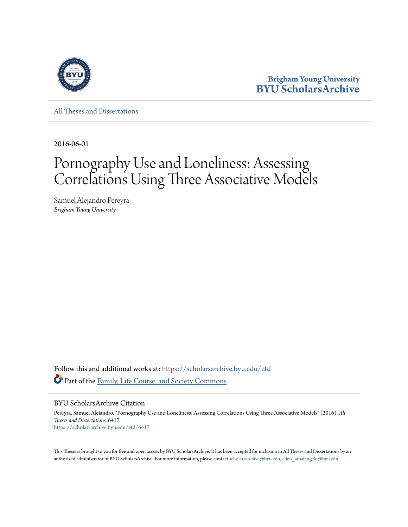

**Brigham Young University [BYU ScholarsArchive](https://scholarsarchive.byu.edu?utm_source=scholarsarchive.byu.edu%2Fetd%2F6417&utm_medium=PDF&utm_campaign=PDFCoverPages)**

[All Theses and Dissertations](https://scholarsarchive.byu.edu/etd?utm_source=scholarsarchive.byu.edu%2Fetd%2F6417&utm_medium=PDF&utm_campaign=PDFCoverPages)

2016-06-01

# Pornography Use and Loneliness: Assessing Correlations Using Three Associative Models

Samuel Alejandro Pereyra *Brigham Young University*

Follow this and additional works at: [https://scholarsarchive.byu.edu/etd](https://scholarsarchive.byu.edu/etd?utm_source=scholarsarchive.byu.edu%2Fetd%2F6417&utm_medium=PDF&utm_campaign=PDFCoverPages) Part of the [Family, Life Course, and Society Commons](http://network.bepress.com/hgg/discipline/419?utm_source=scholarsarchive.byu.edu%2Fetd%2F6417&utm_medium=PDF&utm_campaign=PDFCoverPages)

BYU ScholarsArchive Citation

Pereyra, Samuel Alejandro, "Pornography Use and Loneliness: Assessing Correlations Using Three Associative Models" (2016). *All Theses and Dissertations*. 6417. [https://scholarsarchive.byu.edu/etd/6417](https://scholarsarchive.byu.edu/etd/6417?utm_source=scholarsarchive.byu.edu%2Fetd%2F6417&utm_medium=PDF&utm_campaign=PDFCoverPages)

This Thesis is brought to you for free and open access by BYU ScholarsArchive. It has been accepted for inclusion in All Theses and Dissertations by an authorized administrator of BYU ScholarsArchive. For more information, please contact [scholarsarchive@byu.edu, ellen\\_amatangelo@byu.edu.](mailto:scholarsarchive@byu.edu,%20ellen_amatangelo@byu.edu)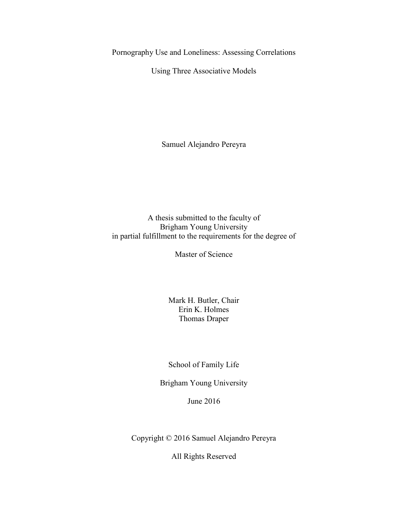Pornography Use and Loneliness: Assessing Correlations

Using Three Associative Models

Samuel Alejandro Pereyra

A thesis submitted to the faculty of Brigham Young University in partial fulfillment to the requirements for the degree of

Master of Science

Mark H. Butler, Chair Erin K. Holmes Thomas Draper

School of Family Life

Brigham Young University

June 2016

Copyright © 2016 Samuel Alejandro Pereyra

All Rights Reserved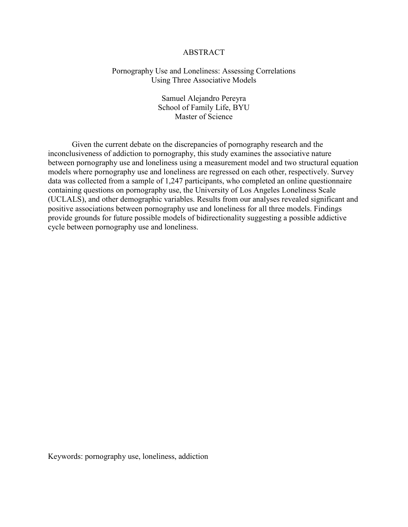# ABSTRACT

# Pornography Use and Loneliness: Assessing Correlations Using Three Associative Models

Samuel Alejandro Pereyra School of Family Life, BYU Master of Science

Given the current debate on the discrepancies of pornography research and the inconclusiveness of addiction to pornography, this study examines the associative nature between pornography use and loneliness using a measurement model and two structural equation models where pornography use and loneliness are regressed on each other, respectively. Survey data was collected from a sample of 1,247 participants, who completed an online questionnaire containing questions on pornography use, the University of Los Angeles Loneliness Scale (UCLALS), and other demographic variables. Results from our analyses revealed significant and positive associations between pornography use and loneliness for all three models. Findings provide grounds for future possible models of bidirectionality suggesting a possible addictive cycle between pornography use and loneliness.

Keywords: pornography use, loneliness, addiction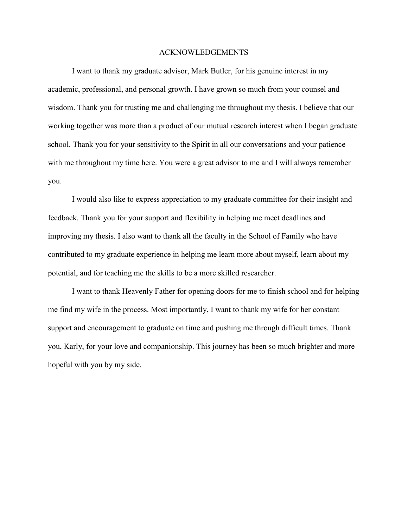#### ACKNOWLEDGEMENTS

I want to thank my graduate advisor, Mark Butler, for his genuine interest in my academic, professional, and personal growth. I have grown so much from your counsel and wisdom. Thank you for trusting me and challenging me throughout my thesis. I believe that our working together was more than a product of our mutual research interest when I began graduate school. Thank you for your sensitivity to the Spirit in all our conversations and your patience with me throughout my time here. You were a great advisor to me and I will always remember you.

I would also like to express appreciation to my graduate committee for their insight and feedback. Thank you for your support and flexibility in helping me meet deadlines and improving my thesis. I also want to thank all the faculty in the School of Family who have contributed to my graduate experience in helping me learn more about myself, learn about my potential, and for teaching me the skills to be a more skilled researcher.

I want to thank Heavenly Father for opening doors for me to finish school and for helping me find my wife in the process. Most importantly, I want to thank my wife for her constant support and encouragement to graduate on time and pushing me through difficult times. Thank you, Karly, for your love and companionship. This journey has been so much brighter and more hopeful with you by my side.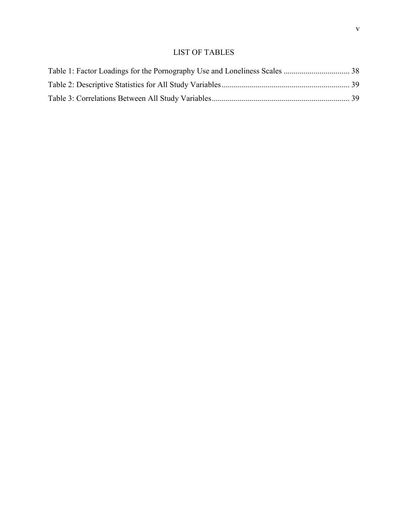# LIST OF TABLES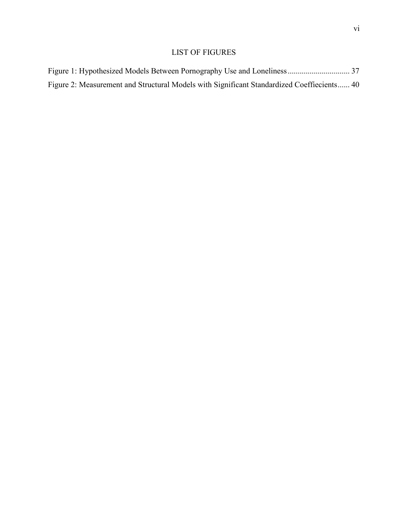# LIST OF FIGURES

| Figure 2: Measurement and Structural Models with Significant Standardized Coeffiecients 40 |  |
|--------------------------------------------------------------------------------------------|--|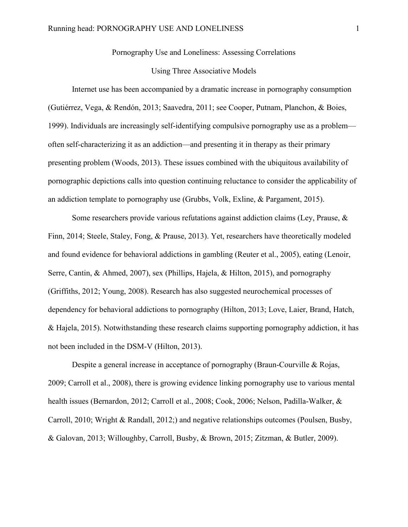Pornography Use and Loneliness: Assessing Correlations

# Using Three Associative Models

Internet use has been accompanied by a dramatic increase in pornography consumption (Gutiérrez, Vega, & Rendón, 2013; Saavedra, 2011; see Cooper, Putnam, Planchon, & Boies, 1999). Individuals are increasingly self-identifying compulsive pornography use as a problem often self-characterizing it as an addiction—and presenting it in therapy as their primary presenting problem (Woods, 2013). These issues combined with the ubiquitous availability of pornographic depictions calls into question continuing reluctance to consider the applicability of an addiction template to pornography use (Grubbs, Volk, Exline, & Pargament, 2015).

Some researchers provide various refutations against addiction claims (Ley, Prause,  $\&$ Finn, 2014; Steele, Staley, Fong, & Prause, 2013). Yet, researchers have theoretically modeled and found evidence for behavioral addictions in gambling (Reuter et al., 2005), eating (Lenoir, Serre, Cantin, & Ahmed, 2007), sex (Phillips, Hajela, & Hilton, 2015), and pornography (Griffiths, 2012; Young, 2008). Research has also suggested neurochemical processes of dependency for behavioral addictions to pornography (Hilton, 2013; Love, Laier, Brand, Hatch, & Hajela, 2015). Notwithstanding these research claims supporting pornography addiction, it has not been included in the DSM-V (Hilton, 2013).

Despite a general increase in acceptance of pornography (Braun-Courville & Rojas, 2009; Carroll et al., 2008), there is growing evidence linking pornography use to various mental health issues (Bernardon, 2012; Carroll et al., 2008; Cook, 2006; Nelson, Padilla-Walker, & Carroll, 2010; Wright & Randall, 2012;) and negative relationships outcomes (Poulsen, Busby, & Galovan, 2013; Willoughby, Carroll, Busby, & Brown, 2015; Zitzman, & Butler, 2009).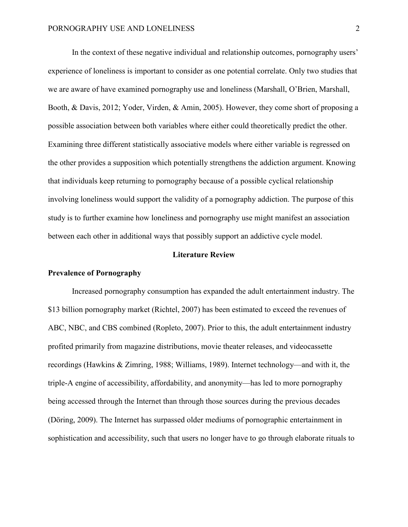In the context of these negative individual and relationship outcomes, pornography users' experience of loneliness is important to consider as one potential correlate. Only two studies that we are aware of have examined pornography use and loneliness (Marshall, O'Brien, Marshall, Booth, & Davis, 2012; Yoder, Virden, & Amin, 2005). However, they come short of proposing a possible association between both variables where either could theoretically predict the other. Examining three different statistically associative models where either variable is regressed on the other provides a supposition which potentially strengthens the addiction argument. Knowing that individuals keep returning to pornography because of a possible cyclical relationship involving loneliness would support the validity of a pornography addiction. The purpose of this study is to further examine how loneliness and pornography use might manifest an association between each other in additional ways that possibly support an addictive cycle model.

# **Literature Review**

# **Prevalence of Pornography**

Increased pornography consumption has expanded the adult entertainment industry. The \$13 billion pornography market (Richtel, 2007) has been estimated to exceed the revenues of ABC, NBC, and CBS combined (Ropleto, 2007). Prior to this, the adult entertainment industry profited primarily from magazine distributions, movie theater releases, and videocassette recordings (Hawkins & Zimring, 1988; Williams, 1989). Internet technology—and with it, the triple-A engine of accessibility, affordability, and anonymity—has led to more pornography being accessed through the Internet than through those sources during the previous decades (Döring, 2009). The Internet has surpassed older mediums of pornographic entertainment in sophistication and accessibility, such that users no longer have to go through elaborate rituals to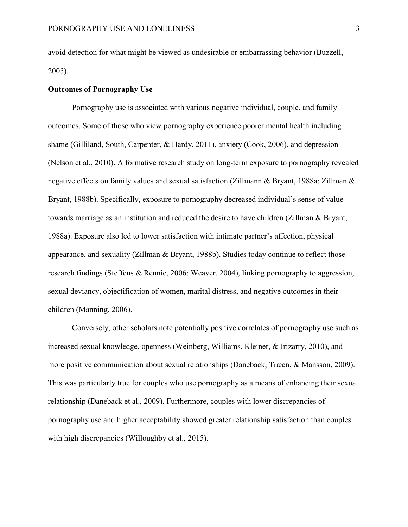avoid detection for what might be viewed as undesirable or embarrassing behavior (Buzzell, 2005).

# **Outcomes of Pornography Use**

Pornography use is associated with various negative individual, couple, and family outcomes. Some of those who view pornography experience poorer mental health including shame (Gilliland, South, Carpenter, & Hardy, 2011), anxiety (Cook, 2006), and depression (Nelson et al., 2010). A formative research study on long-term exposure to pornography revealed negative effects on family values and sexual satisfaction (Zillmann & Bryant, 1988a; Zillman & Bryant, 1988b). Specifically, exposure to pornography decreased individual's sense of value towards marriage as an institution and reduced the desire to have children (Zillman & Bryant, 1988a). Exposure also led to lower satisfaction with intimate partner's affection, physical appearance, and sexuality (Zillman & Bryant, 1988b). Studies today continue to reflect those research findings (Steffens & Rennie, 2006; Weaver, 2004), linking pornography to aggression, sexual deviancy, objectification of women, marital distress, and negative outcomes in their children (Manning, 2006).

Conversely, other scholars note potentially positive correlates of pornography use such as increased sexual knowledge, openness (Weinberg, Williams, Kleiner, & Irizarry, 2010), and more positive communication about sexual relationships (Daneback, Træen, & Månsson, 2009). This was particularly true for couples who use pornography as a means of enhancing their sexual relationship (Daneback et al., 2009). Furthermore, couples with lower discrepancies of pornography use and higher acceptability showed greater relationship satisfaction than couples with high discrepancies (Willoughby et al., 2015).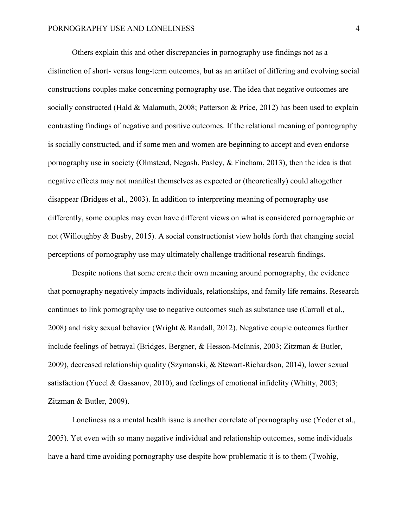Others explain this and other discrepancies in pornography use findings not as a distinction of short- versus long-term outcomes, but as an artifact of differing and evolving social constructions couples make concerning pornography use. The idea that negative outcomes are socially constructed (Hald & Malamuth, 2008; Patterson & Price, 2012) has been used to explain contrasting findings of negative and positive outcomes. If the relational meaning of pornography is socially constructed, and if some men and women are beginning to accept and even endorse pornography use in society (Olmstead, Negash, Pasley, & Fincham, 2013), then the idea is that negative effects may not manifest themselves as expected or (theoretically) could altogether disappear (Bridges et al., 2003). In addition to interpreting meaning of pornography use differently, some couples may even have different views on what is considered pornographic or not (Willoughby & Busby, 2015). A social constructionist view holds forth that changing social perceptions of pornography use may ultimately challenge traditional research findings.

Despite notions that some create their own meaning around pornography, the evidence that pornography negatively impacts individuals, relationships, and family life remains. Research continues to link pornography use to negative outcomes such as substance use (Carroll et al., 2008) and risky sexual behavior (Wright & Randall, 2012). Negative couple outcomes further include feelings of betrayal (Bridges, Bergner, & Hesson-McInnis, 2003; Zitzman & Butler, 2009), decreased relationship quality (Szymanski, & Stewart-Richardson, 2014), lower sexual satisfaction (Yucel & Gassanov, 2010), and feelings of emotional infidelity (Whitty, 2003; Zitzman & Butler, 2009).

Loneliness as a mental health issue is another correlate of pornography use (Yoder et al., 2005). Yet even with so many negative individual and relationship outcomes, some individuals have a hard time avoiding pornography use despite how problematic it is to them (Twohig,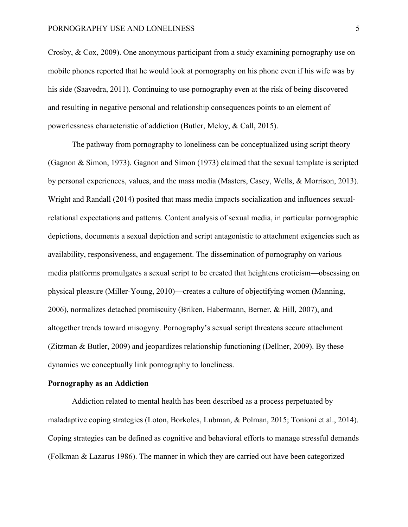Crosby, & Cox, 2009). One anonymous participant from a study examining pornography use on mobile phones reported that he would look at pornography on his phone even if his wife was by his side (Saavedra, 2011). Continuing to use pornography even at the risk of being discovered and resulting in negative personal and relationship consequences points to an element of powerlessness characteristic of addiction (Butler, Meloy, & Call, 2015).

The pathway from pornography to loneliness can be conceptualized using script theory (Gagnon & Simon, 1973). Gagnon and Simon (1973) claimed that the sexual template is scripted by personal experiences, values, and the mass media (Masters, Casey, Wells, & Morrison, 2013). Wright and Randall (2014) posited that mass media impacts socialization and influences sexualrelational expectations and patterns. Content analysis of sexual media, in particular pornographic depictions, documents a sexual depiction and script antagonistic to attachment exigencies such as availability, responsiveness, and engagement. The dissemination of pornography on various media platforms promulgates a sexual script to be created that heightens eroticism—obsessing on physical pleasure (Miller-Young, 2010)—creates a culture of objectifying women (Manning, 2006), normalizes detached promiscuity (Briken, Habermann, Berner, & Hill, 2007), and altogether trends toward misogyny. Pornography's sexual script threatens secure attachment (Zitzman & Butler, 2009) and jeopardizes relationship functioning (Dellner, 2009). By these dynamics we conceptually link pornography to loneliness.

#### **Pornography as an Addiction**

Addiction related to mental health has been described as a process perpetuated by maladaptive coping strategies (Loton, Borkoles, Lubman, & Polman, 2015; Tonioni et al., 2014). Coping strategies can be defined as cognitive and behavioral efforts to manage stressful demands (Folkman & Lazarus 1986). The manner in which they are carried out have been categorized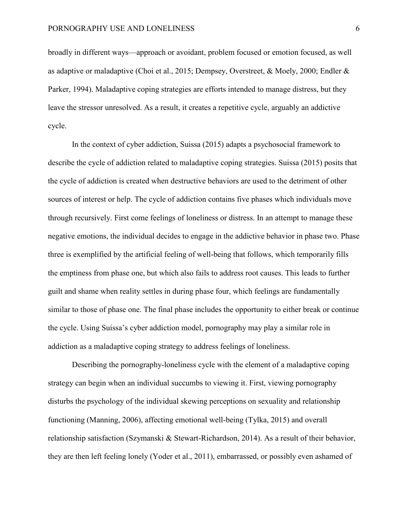broadly in different ways—approach or avoidant, problem focused or emotion focused, as well as adaptive or maladaptive (Choi et al., 2015; Dempsey, Overstreet, & Moely, 2000; Endler & Parker, 1994). Maladaptive coping strategies are efforts intended to manage distress, but they leave the stressor unresolved. As a result, it creates a repetitive cycle, arguably an addictive cycle.

In the context of cyber addiction, Suissa (2015) adapts a psychosocial framework to describe the cycle of addiction related to maladaptive coping strategies. Suissa (2015) posits that the cycle of addiction is created when destructive behaviors are used to the detriment of other sources of interest or help. The cycle of addiction contains five phases which individuals move through recursively. First come feelings of loneliness or distress. In an attempt to manage these negative emotions, the individual decides to engage in the addictive behavior in phase two. Phase three is exemplified by the artificial feeling of well-being that follows, which temporarily fills the emptiness from phase one, but which also fails to address root causes. This leads to further guilt and shame when reality settles in during phase four, which feelings are fundamentally similar to those of phase one. The final phase includes the opportunity to either break or continue the cycle. Using Suissa's cyber addiction model, pornography may play a similar role in addiction as a maladaptive coping strategy to address feelings of loneliness.

Describing the pornography-loneliness cycle with the element of a maladaptive coping strategy can begin when an individual succumbs to viewing it. First, viewing pornography disturbs the psychology of the individual skewing perceptions on sexuality and relationship functioning (Manning, 2006), affecting emotional well-being (Tylka, 2015) and overall relationship satisfaction (Szymanski & Stewart-Richardson, 2014). As a result of their behavior, they are then left feeling lonely (Yoder et al., 2011), embarrassed, or possibly even ashamed of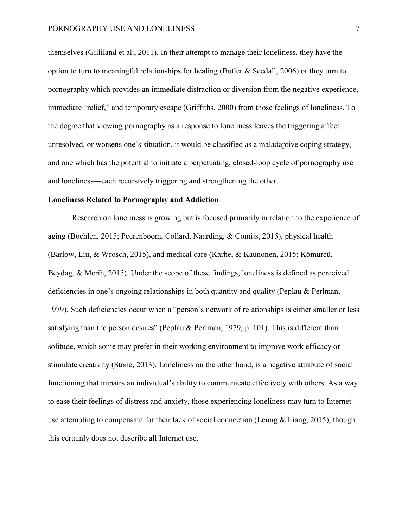themselves (Gilliland et al., 2011). In their attempt to manage their loneliness, they have the option to turn to meaningful relationships for healing (Butler & Seedall, 2006) or they turn to pornography which provides an immediate distraction or diversion from the negative experience, immediate "relief," and temporary escape (Griffiths, 2000) from those feelings of loneliness. To the degree that viewing pornography as a response to loneliness leaves the triggering affect unresolved, or worsens one's situation, it would be classified as a maladaptive coping strategy, and one which has the potential to initiate a perpetuating, closed-loop cycle of pornography use and loneliness—each recursively triggering and strengthening the other.

# **Loneliness Related to Pornography and Addiction**

Research on loneliness is growing but is focused primarily in relation to the experience of aging (Boehlen, 2015; Peerenboom, Collard, Naarding, & Comijs, 2015), physical health (Barlow, Liu, & Wrosch, 2015), and medical care (Karhe, & Kaunonen, 2015; Kömürcü, Beydag, & Merih, 2015). Under the scope of these findings, loneliness is defined as perceived deficiencies in one's ongoing relationships in both quantity and quality (Peplau & Perlman, 1979). Such deficiencies occur when a "person's network of relationships is either smaller or less satisfying than the person desires" (Peplau & Perlman, 1979, p. 101). This is different than solitude, which some may prefer in their working environment to improve work efficacy or stimulate creativity (Stone, 2013). Loneliness on the other hand, is a negative attribute of social functioning that impairs an individual's ability to communicate effectively with others. As a way to ease their feelings of distress and anxiety, those experiencing loneliness may turn to Internet use attempting to compensate for their lack of social connection (Leung & Liang, 2015), though this certainly does not describe all Internet use.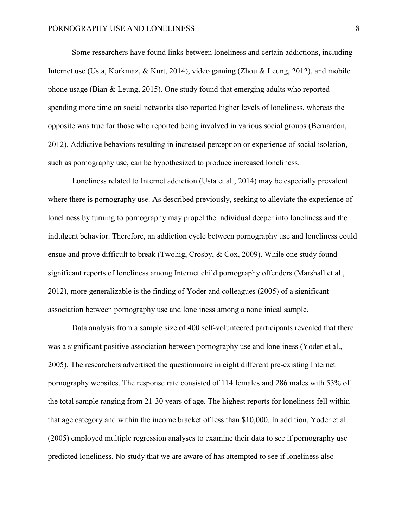Some researchers have found links between loneliness and certain addictions, including Internet use (Usta, Korkmaz, & Kurt, 2014), video gaming (Zhou & Leung, 2012), and mobile phone usage (Bian & Leung, 2015). One study found that emerging adults who reported spending more time on social networks also reported higher levels of loneliness, whereas the opposite was true for those who reported being involved in various social groups (Bernardon, 2012). Addictive behaviors resulting in increased perception or experience of social isolation, such as pornography use, can be hypothesized to produce increased loneliness.

Loneliness related to Internet addiction (Usta et al., 2014) may be especially prevalent where there is pornography use. As described previously, seeking to alleviate the experience of loneliness by turning to pornography may propel the individual deeper into loneliness and the indulgent behavior. Therefore, an addiction cycle between pornography use and loneliness could ensue and prove difficult to break (Twohig, Crosby, & Cox, 2009). While one study found significant reports of loneliness among Internet child pornography offenders (Marshall et al., 2012), more generalizable is the finding of Yoder and colleagues (2005) of a significant association between pornography use and loneliness among a nonclinical sample.

Data analysis from a sample size of 400 self-volunteered participants revealed that there was a significant positive association between pornography use and loneliness (Yoder et al., 2005). The researchers advertised the questionnaire in eight different pre-existing Internet pornography websites. The response rate consisted of 114 females and 286 males with 53% of the total sample ranging from 21-30 years of age. The highest reports for loneliness fell within that age category and within the income bracket of less than \$10,000. In addition, Yoder et al. (2005) employed multiple regression analyses to examine their data to see if pornography use predicted loneliness. No study that we are aware of has attempted to see if loneliness also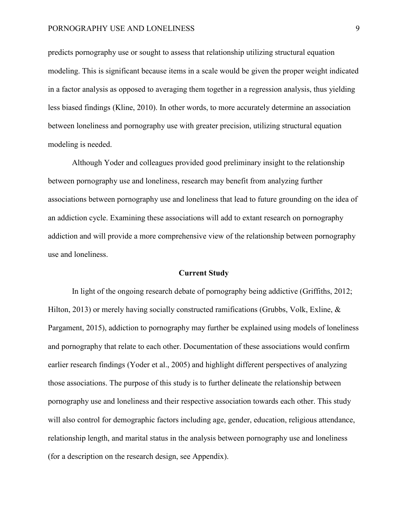#### PORNOGRAPHY USE AND LONELINESS 9

predicts pornography use or sought to assess that relationship utilizing structural equation modeling. This is significant because items in a scale would be given the proper weight indicated in a factor analysis as opposed to averaging them together in a regression analysis, thus yielding less biased findings (Kline, 2010). In other words, to more accurately determine an association between loneliness and pornography use with greater precision, utilizing structural equation modeling is needed.

Although Yoder and colleagues provided good preliminary insight to the relationship between pornography use and loneliness, research may benefit from analyzing further associations between pornography use and loneliness that lead to future grounding on the idea of an addiction cycle. Examining these associations will add to extant research on pornography addiction and will provide a more comprehensive view of the relationship between pornography use and loneliness.

# **Current Study**

In light of the ongoing research debate of pornography being addictive (Griffiths, 2012; Hilton, 2013) or merely having socially constructed ramifications (Grubbs, Volk, Exline, & Pargament, 2015), addiction to pornography may further be explained using models of loneliness and pornography that relate to each other. Documentation of these associations would confirm earlier research findings (Yoder et al., 2005) and highlight different perspectives of analyzing those associations. The purpose of this study is to further delineate the relationship between pornography use and loneliness and their respective association towards each other. This study will also control for demographic factors including age, gender, education, religious attendance, relationship length, and marital status in the analysis between pornography use and loneliness (for a description on the research design, see Appendix).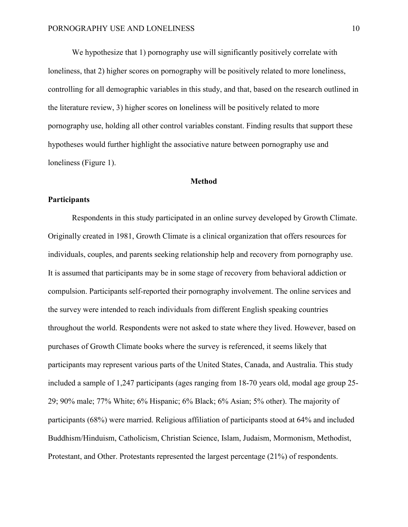We hypothesize that 1) pornography use will significantly positively correlate with loneliness, that 2) higher scores on pornography will be positively related to more loneliness, controlling for all demographic variables in this study, and that, based on the research outlined in the literature review, 3) higher scores on loneliness will be positively related to more pornography use, holding all other control variables constant. Finding results that support these hypotheses would further highlight the associative nature between pornography use and loneliness (Figure 1).

# **Method**

# **Participants**

Respondents in this study participated in an online survey developed by Growth Climate. Originally created in 1981, Growth Climate is a clinical organization that offers resources for individuals, couples, and parents seeking relationship help and recovery from pornography use. It is assumed that participants may be in some stage of recovery from behavioral addiction or compulsion. Participants self-reported their pornography involvement. The online services and the survey were intended to reach individuals from different English speaking countries throughout the world. Respondents were not asked to state where they lived. However, based on purchases of Growth Climate books where the survey is referenced, it seems likely that participants may represent various parts of the United States, Canada, and Australia. This study included a sample of 1,247 participants (ages ranging from 18-70 years old, modal age group 25- 29; 90% male; 77% White; 6% Hispanic; 6% Black; 6% Asian; 5% other). The majority of participants (68%) were married. Religious affiliation of participants stood at 64% and included Buddhism/Hinduism, Catholicism, Christian Science, Islam, Judaism, Mormonism, Methodist, Protestant, and Other. Protestants represented the largest percentage (21%) of respondents.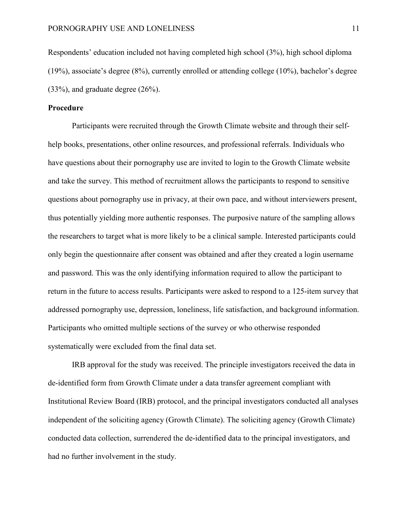Respondents' education included not having completed high school (3%), high school diploma (19%), associate's degree (8%), currently enrolled or attending college (10%), bachelor's degree (33%), and graduate degree (26%).

# **Procedure**

Participants were recruited through the Growth Climate website and through their selfhelp books, presentations, other online resources, and professional referrals. Individuals who have questions about their pornography use are invited to login to the Growth Climate website and take the survey. This method of recruitment allows the participants to respond to sensitive questions about pornography use in privacy, at their own pace, and without interviewers present, thus potentially yielding more authentic responses. The purposive nature of the sampling allows the researchers to target what is more likely to be a clinical sample. Interested participants could only begin the questionnaire after consent was obtained and after they created a login username and password. This was the only identifying information required to allow the participant to return in the future to access results. Participants were asked to respond to a 125-item survey that addressed pornography use, depression, loneliness, life satisfaction, and background information. Participants who omitted multiple sections of the survey or who otherwise responded systematically were excluded from the final data set.

IRB approval for the study was received. The principle investigators received the data in de-identified form from Growth Climate under a data transfer agreement compliant with Institutional Review Board (IRB) protocol, and the principal investigators conducted all analyses independent of the soliciting agency (Growth Climate). The soliciting agency (Growth Climate) conducted data collection, surrendered the de-identified data to the principal investigators, and had no further involvement in the study.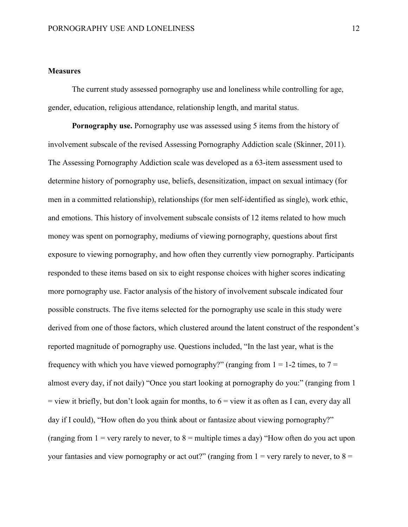# **Measures**

The current study assessed pornography use and loneliness while controlling for age, gender, education, religious attendance, relationship length, and marital status.

**Pornography use.** Pornography use was assessed using 5 items from the history of involvement subscale of the revised Assessing Pornography Addiction scale (Skinner, 2011). The Assessing Pornography Addiction scale was developed as a 63-item assessment used to determine history of pornography use, beliefs, desensitization, impact on sexual intimacy (for men in a committed relationship), relationships (for men self-identified as single), work ethic, and emotions. This history of involvement subscale consists of 12 items related to how much money was spent on pornography, mediums of viewing pornography, questions about first exposure to viewing pornography, and how often they currently view pornography. Participants responded to these items based on six to eight response choices with higher scores indicating more pornography use. Factor analysis of the history of involvement subscale indicated four possible constructs. The five items selected for the pornography use scale in this study were derived from one of those factors, which clustered around the latent construct of the respondent's reported magnitude of pornography use. Questions included, "In the last year, what is the frequency with which you have viewed pornography?" (ranging from  $1 = 1-2$  times, to  $7 = 1$ almost every day, if not daily) "Once you start looking at pornography do you:" (ranging from 1  $=$  view it briefly, but don't look again for months, to  $6 =$  view it as often as I can, every day all day if I could), "How often do you think about or fantasize about viewing pornography?" (ranging from  $1 =$  very rarely to never, to  $8 =$  multiple times a day) "How often do you act upon your fantasies and view pornography or act out?" (ranging from  $1 =$  very rarely to never, to  $8 =$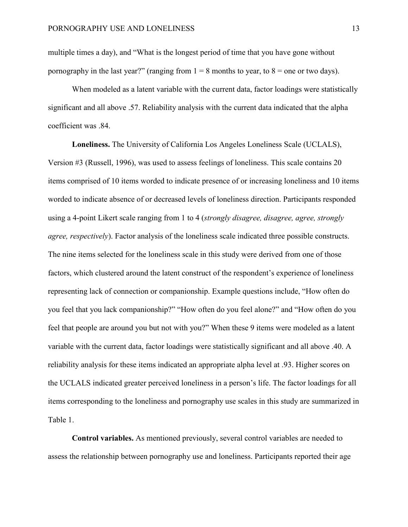multiple times a day), and "What is the longest period of time that you have gone without pornography in the last year?" (ranging from  $1 = 8$  months to year, to  $8 =$  one or two days).

When modeled as a latent variable with the current data, factor loadings were statistically significant and all above .57. Reliability analysis with the current data indicated that the alpha coefficient was .84.

**Loneliness.** The University of California Los Angeles Loneliness Scale (UCLALS), Version #3 (Russell, 1996), was used to assess feelings of loneliness. This scale contains 20 items comprised of 10 items worded to indicate presence of or increasing loneliness and 10 items worded to indicate absence of or decreased levels of loneliness direction. Participants responded using a 4-point Likert scale ranging from 1 to 4 (*strongly disagree, disagree, agree, strongly agree, respectively*). Factor analysis of the loneliness scale indicated three possible constructs. The nine items selected for the loneliness scale in this study were derived from one of those factors, which clustered around the latent construct of the respondent's experience of loneliness representing lack of connection or companionship. Example questions include, "How often do you feel that you lack companionship?" "How often do you feel alone?" and "How often do you feel that people are around you but not with you?" When these 9 items were modeled as a latent variable with the current data, factor loadings were statistically significant and all above .40. A reliability analysis for these items indicated an appropriate alpha level at .93. Higher scores on the UCLALS indicated greater perceived loneliness in a person's life. The factor loadings for all items corresponding to the loneliness and pornography use scales in this study are summarized in Table 1.

**Control variables.** As mentioned previously, several control variables are needed to assess the relationship between pornography use and loneliness. Participants reported their age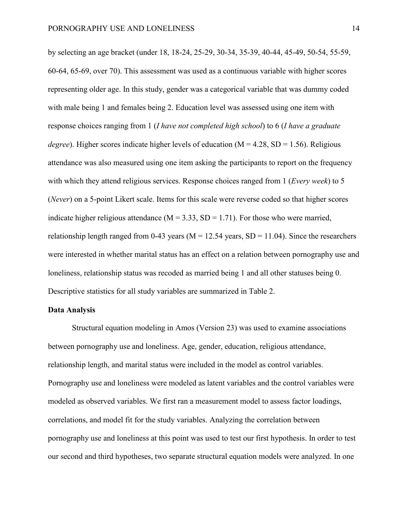by selecting an age bracket (under 18, 18-24, 25-29, 30-34, 35-39, 40-44, 45-49, 50-54, 55-59, 60-64, 65-69, over 70). This assessment was used as a continuous variable with higher scores representing older age. In this study, gender was a categorical variable that was dummy coded with male being 1 and females being 2. Education level was assessed using one item with response choices ranging from 1 (*I have not completed high school*) to 6 (*I have a graduate degree*). Higher scores indicate higher levels of education ( $M = 4.28$ , SD = 1.56). Religious attendance was also measured using one item asking the participants to report on the frequency with which they attend religious services. Response choices ranged from 1 (*Every week*) to 5 (*Never*) on a 5-point Likert scale. Items for this scale were reverse coded so that higher scores indicate higher religious attendance  $(M = 3.33, SD = 1.71)$ . For those who were married, relationship length ranged from 0-43 years ( $M = 12.54$  years,  $SD = 11.04$ ). Since the researchers were interested in whether marital status has an effect on a relation between pornography use and loneliness, relationship status was recoded as married being 1 and all other statuses being 0. Descriptive statistics for all study variables are summarized in Table 2.

#### **Data Analysis**

Structural equation modeling in Amos (Version 23) was used to examine associations between pornography use and loneliness. Age, gender, education, religious attendance, relationship length, and marital status were included in the model as control variables. Pornography use and loneliness were modeled as latent variables and the control variables were modeled as observed variables. We first ran a measurement model to assess factor loadings, correlations, and model fit for the study variables. Analyzing the correlation between pornography use and loneliness at this point was used to test our first hypothesis. In order to test our second and third hypotheses, two separate structural equation models were analyzed. In one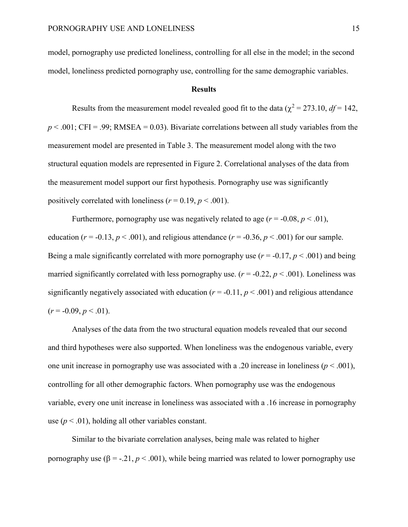model, pornography use predicted loneliness, controlling for all else in the model; in the second model, loneliness predicted pornography use, controlling for the same demographic variables.

## **Results**

Results from the measurement model revealed good fit to the data ( $\chi^2 = 273.10$ ,  $df = 142$ ,  $p < .001$ ; CFI = .99; RMSEA = 0.03). Bivariate correlations between all study variables from the measurement model are presented in Table 3. The measurement model along with the two structural equation models are represented in Figure 2. Correlational analyses of the data from the measurement model support our first hypothesis. Pornography use was significantly positively correlated with loneliness  $(r = 0.19, p < .001)$ .

Furthermore, pornography use was negatively related to age  $(r = -0.08, p < .01)$ , education ( $r = -0.13$ ,  $p < .001$ ), and religious attendance ( $r = -0.36$ ,  $p < .001$ ) for our sample. Being a male significantly correlated with more pornography use  $(r = -0.17, p < .001)$  and being married significantly correlated with less pornography use.  $(r = -0.22, p < .001)$ . Loneliness was significantly negatively associated with education ( $r = -0.11$ ,  $p < .001$ ) and religious attendance  $(r = -0.09, p < .01).$ 

Analyses of the data from the two structural equation models revealed that our second and third hypotheses were also supported. When loneliness was the endogenous variable, every one unit increase in pornography use was associated with a .20 increase in loneliness ( $p < .001$ ), controlling for all other demographic factors. When pornography use was the endogenous variable, every one unit increase in loneliness was associated with a .16 increase in pornography use  $(p < .01)$ , holding all other variables constant.

Similar to the bivariate correlation analyses, being male was related to higher pornography use (β = -.21,  $p < .001$ ), while being married was related to lower pornography use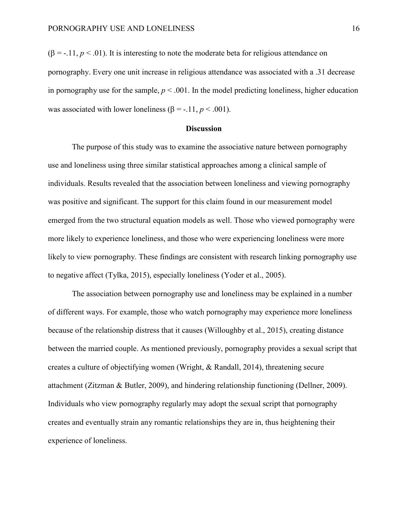$(\beta = -11, p < 0.01)$ . It is interesting to note the moderate beta for religious attendance on pornography. Every one unit increase in religious attendance was associated with a .31 decrease in pornography use for the sample,  $p < .001$ . In the model predicting loneliness, higher education was associated with lower loneliness  $(\beta = -11, p < .001)$ .

#### **Discussion**

The purpose of this study was to examine the associative nature between pornography use and loneliness using three similar statistical approaches among a clinical sample of individuals. Results revealed that the association between loneliness and viewing pornography was positive and significant. The support for this claim found in our measurement model emerged from the two structural equation models as well. Those who viewed pornography were more likely to experience loneliness, and those who were experiencing loneliness were more likely to view pornography. These findings are consistent with research linking pornography use to negative affect (Tylka, 2015), especially loneliness (Yoder et al., 2005).

The association between pornography use and loneliness may be explained in a number of different ways. For example, those who watch pornography may experience more loneliness because of the relationship distress that it causes (Willoughby et al., 2015), creating distance between the married couple. As mentioned previously, pornography provides a sexual script that creates a culture of objectifying women (Wright, & Randall, 2014), threatening secure attachment (Zitzman & Butler, 2009), and hindering relationship functioning (Dellner, 2009). Individuals who view pornography regularly may adopt the sexual script that pornography creates and eventually strain any romantic relationships they are in, thus heightening their experience of loneliness.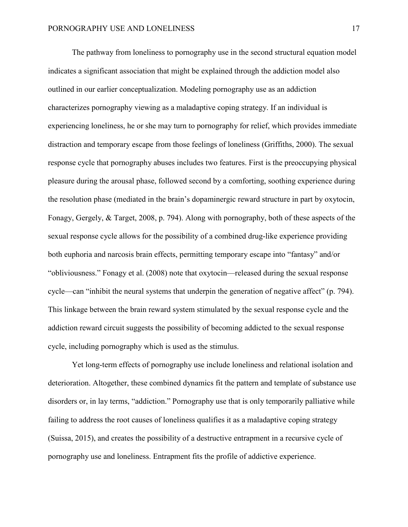The pathway from loneliness to pornography use in the second structural equation model indicates a significant association that might be explained through the addiction model also outlined in our earlier conceptualization. Modeling pornography use as an addiction characterizes pornography viewing as a maladaptive coping strategy. If an individual is experiencing loneliness, he or she may turn to pornography for relief, which provides immediate distraction and temporary escape from those feelings of loneliness (Griffiths, 2000). The sexual response cycle that pornography abuses includes two features. First is the preoccupying physical pleasure during the arousal phase, followed second by a comforting, soothing experience during the resolution phase (mediated in the brain's dopaminergic reward structure in part by oxytocin, Fonagy, Gergely, & Target, 2008, p. 794). Along with pornography, both of these aspects of the sexual response cycle allows for the possibility of a combined drug-like experience providing both euphoria and narcosis brain effects, permitting temporary escape into "fantasy" and/or "obliviousness." Fonagy et al. (2008) note that oxytocin—released during the sexual response cycle—can "inhibit the neural systems that underpin the generation of negative affect" (p. 794). This linkage between the brain reward system stimulated by the sexual response cycle and the addiction reward circuit suggests the possibility of becoming addicted to the sexual response cycle, including pornography which is used as the stimulus.

Yet long-term effects of pornography use include loneliness and relational isolation and deterioration. Altogether, these combined dynamics fit the pattern and template of substance use disorders or, in lay terms, "addiction." Pornography use that is only temporarily palliative while failing to address the root causes of loneliness qualifies it as a maladaptive coping strategy (Suissa, 2015), and creates the possibility of a destructive entrapment in a recursive cycle of pornography use and loneliness. Entrapment fits the profile of addictive experience.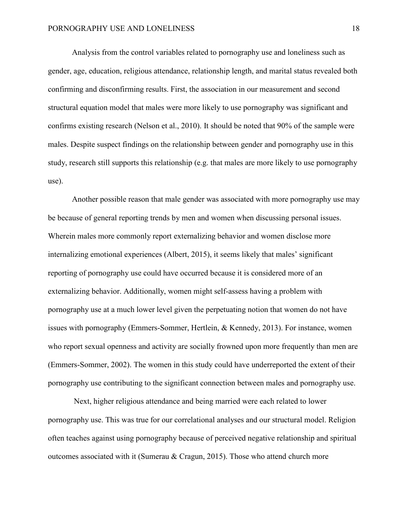Analysis from the control variables related to pornography use and loneliness such as gender, age, education, religious attendance, relationship length, and marital status revealed both confirming and disconfirming results. First, the association in our measurement and second structural equation model that males were more likely to use pornography was significant and confirms existing research (Nelson et al., 2010). It should be noted that 90% of the sample were males. Despite suspect findings on the relationship between gender and pornography use in this study, research still supports this relationship (e.g. that males are more likely to use pornography use).

Another possible reason that male gender was associated with more pornography use may be because of general reporting trends by men and women when discussing personal issues. Wherein males more commonly report externalizing behavior and women disclose more internalizing emotional experiences (Albert, 2015), it seems likely that males' significant reporting of pornography use could have occurred because it is considered more of an externalizing behavior. Additionally, women might self-assess having a problem with pornography use at a much lower level given the perpetuating notion that women do not have issues with pornography (Emmers-Sommer, Hertlein, & Kennedy, 2013). For instance, women who report sexual openness and activity are socially frowned upon more frequently than men are (Emmers-Sommer, 2002). The women in this study could have underreported the extent of their pornography use contributing to the significant connection between males and pornography use.

Next, higher religious attendance and being married were each related to lower pornography use. This was true for our correlational analyses and our structural model. Religion often teaches against using pornography because of perceived negative relationship and spiritual outcomes associated with it (Sumerau & Cragun, 2015). Those who attend church more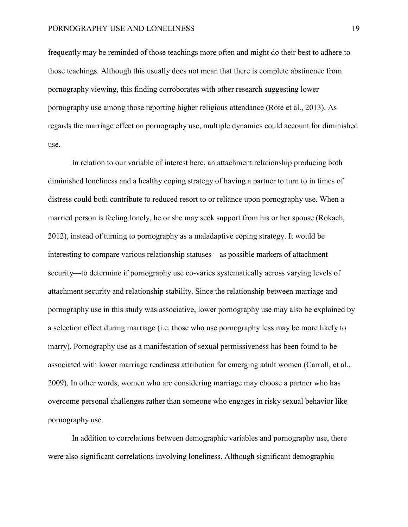frequently may be reminded of those teachings more often and might do their best to adhere to those teachings. Although this usually does not mean that there is complete abstinence from pornography viewing, this finding corroborates with other research suggesting lower pornography use among those reporting higher religious attendance (Rote et al., 2013). As regards the marriage effect on pornography use, multiple dynamics could account for diminished use.

In relation to our variable of interest here, an attachment relationship producing both diminished loneliness and a healthy coping strategy of having a partner to turn to in times of distress could both contribute to reduced resort to or reliance upon pornography use. When a married person is feeling lonely, he or she may seek support from his or her spouse (Rokach, 2012), instead of turning to pornography as a maladaptive coping strategy. It would be interesting to compare various relationship statuses—as possible markers of attachment security—to determine if pornography use co-varies systematically across varying levels of attachment security and relationship stability. Since the relationship between marriage and pornography use in this study was associative, lower pornography use may also be explained by a selection effect during marriage (i.e. those who use pornography less may be more likely to marry). Pornography use as a manifestation of sexual permissiveness has been found to be associated with lower marriage readiness attribution for emerging adult women (Carroll, et al., 2009). In other words, women who are considering marriage may choose a partner who has overcome personal challenges rather than someone who engages in risky sexual behavior like pornography use.

In addition to correlations between demographic variables and pornography use, there were also significant correlations involving loneliness. Although significant demographic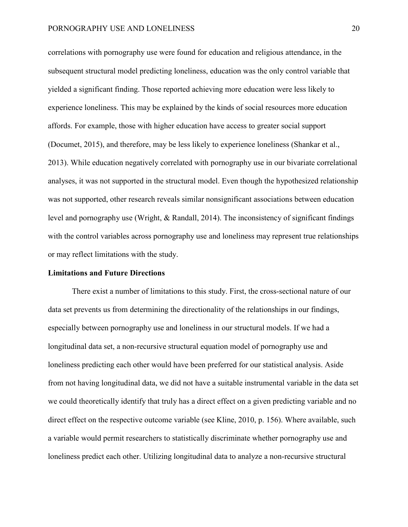correlations with pornography use were found for education and religious attendance, in the subsequent structural model predicting loneliness, education was the only control variable that yielded a significant finding. Those reported achieving more education were less likely to experience loneliness. This may be explained by the kinds of social resources more education affords. For example, those with higher education have access to greater social support (Documet, 2015), and therefore, may be less likely to experience loneliness (Shankar et al., 2013). While education negatively correlated with pornography use in our bivariate correlational analyses, it was not supported in the structural model. Even though the hypothesized relationship was not supported, other research reveals similar nonsignificant associations between education level and pornography use (Wright, & Randall, 2014). The inconsistency of significant findings with the control variables across pornography use and loneliness may represent true relationships or may reflect limitations with the study.

# **Limitations and Future Directions**

There exist a number of limitations to this study. First, the cross-sectional nature of our data set prevents us from determining the directionality of the relationships in our findings, especially between pornography use and loneliness in our structural models. If we had a longitudinal data set, a non-recursive structural equation model of pornography use and loneliness predicting each other would have been preferred for our statistical analysis. Aside from not having longitudinal data, we did not have a suitable instrumental variable in the data set we could theoretically identify that truly has a direct effect on a given predicting variable and no direct effect on the respective outcome variable (see Kline, 2010, p. 156). Where available, such a variable would permit researchers to statistically discriminate whether pornography use and loneliness predict each other. Utilizing longitudinal data to analyze a non-recursive structural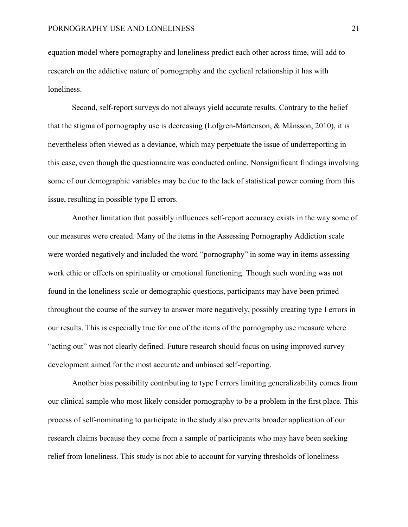equation model where pornography and loneliness predict each other across time, will add to research on the addictive nature of pornography and the cyclical relationship it has with loneliness.

Second, self-report surveys do not always yield accurate results. Contrary to the belief that the stigma of pornography use is decreasing (Lofgren-Mårtenson, & Månsson, 2010), it is nevertheless often viewed as a deviance, which may perpetuate the issue of underreporting in this case, even though the questionnaire was conducted online. Nonsignificant findings involving some of our demographic variables may be due to the lack of statistical power coming from this issue, resulting in possible type II errors.

Another limitation that possibly influences self-report accuracy exists in the way some of our measures were created. Many of the items in the Assessing Pornography Addiction scale were worded negatively and included the word "pornography" in some way in items assessing work ethic or effects on spirituality or emotional functioning. Though such wording was not found in the loneliness scale or demographic questions, participants may have been primed throughout the course of the survey to answer more negatively, possibly creating type I errors in our results. This is especially true for one of the items of the pornography use measure where "acting out" was not clearly defined. Future research should focus on using improved survey development aimed for the most accurate and unbiased self-reporting.

Another bias possibility contributing to type I errors limiting generalizability comes from our clinical sample who most likely consider pornography to be a problem in the first place. This process of self-nominating to participate in the study also prevents broader application of our research claims because they come from a sample of participants who may have been seeking relief from loneliness. This study is not able to account for varying thresholds of loneliness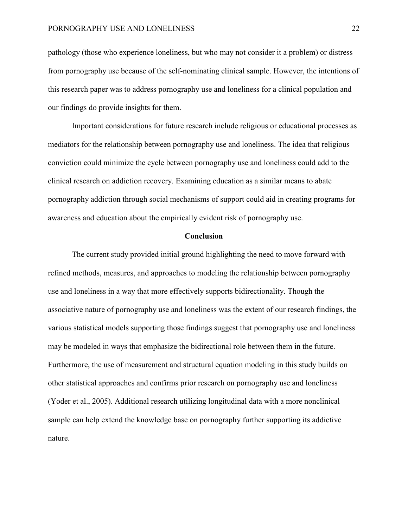pathology (those who experience loneliness, but who may not consider it a problem) or distress from pornography use because of the self-nominating clinical sample. However, the intentions of this research paper was to address pornography use and loneliness for a clinical population and our findings do provide insights for them.

Important considerations for future research include religious or educational processes as mediators for the relationship between pornography use and loneliness. The idea that religious conviction could minimize the cycle between pornography use and loneliness could add to the clinical research on addiction recovery. Examining education as a similar means to abate pornography addiction through social mechanisms of support could aid in creating programs for awareness and education about the empirically evident risk of pornography use.

# **Conclusion**

The current study provided initial ground highlighting the need to move forward with refined methods, measures, and approaches to modeling the relationship between pornography use and loneliness in a way that more effectively supports bidirectionality. Though the associative nature of pornography use and loneliness was the extent of our research findings, the various statistical models supporting those findings suggest that pornography use and loneliness may be modeled in ways that emphasize the bidirectional role between them in the future. Furthermore, the use of measurement and structural equation modeling in this study builds on other statistical approaches and confirms prior research on pornography use and loneliness (Yoder et al., 2005). Additional research utilizing longitudinal data with a more nonclinical sample can help extend the knowledge base on pornography further supporting its addictive nature.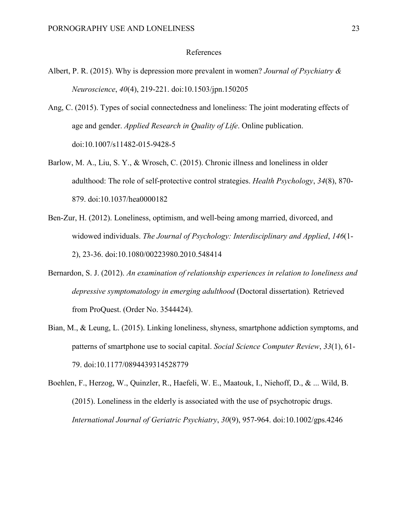#### References

- Albert, P. R. (2015). Why is depression more prevalent in women? *Journal of Psychiatry & Neuroscience*, *40*(4), 219-221. doi:10.1503/jpn.150205
- Ang, C. (2015). Types of social connectedness and loneliness: The joint moderating effects of age and gender. *Applied Research in Quality of Life*. Online publication. doi:10.1007/s11482-015-9428-5
- Barlow, M. A., Liu, S. Y., & Wrosch, C. (2015). Chronic illness and loneliness in older adulthood: The role of self-protective control strategies. *Health Psychology*, *34*(8), 870- 879. doi:10.1037/hea0000182
- Ben-Zur, H. (2012). Loneliness, optimism, and well-being among married, divorced, and widowed individuals. *The Journal of Psychology: Interdisciplinary and Applied*, *146*(1- 2), 23-36. doi:10.1080/00223980.2010.548414
- Bernardon, S. J. (2012). *An examination of relationship experiences in relation to loneliness and depressive symptomatology in emerging adulthood* (Doctoral dissertation)*.* Retrieved from ProQuest. (Order No. 3544424).
- Bian, M., & Leung, L. (2015). Linking loneliness, shyness, smartphone addiction symptoms, and patterns of smartphone use to social capital. *Social Science Computer Review*, *33*(1), 61- 79. doi:10.1177/0894439314528779
- Boehlen, F., Herzog, W., Quinzler, R., Haefeli, W. E., Maatouk, I., Niehoff, D., & ... Wild, B. (2015). Loneliness in the elderly is associated with the use of psychotropic drugs. *International Journal of Geriatric Psychiatry*, *30*(9), 957-964. doi:10.1002/gps.4246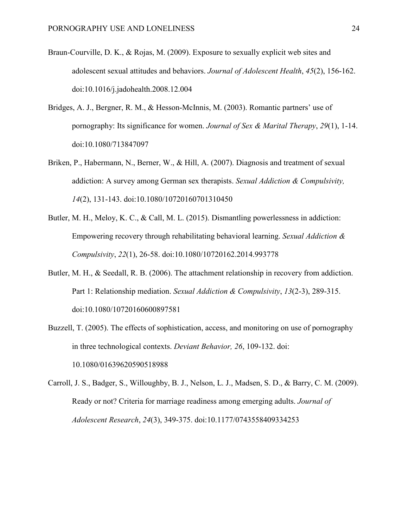- Braun-Courville, D. K., & Rojas, M. (2009). Exposure to sexually explicit web sites and adolescent sexual attitudes and behaviors. *Journal of Adolescent Health*, *45*(2), 156-162. doi:10.1016/j.jadohealth.2008.12.004
- Bridges, A. J., Bergner, R. M., & Hesson-McInnis, M. (2003). Romantic partners' use of pornography: Its significance for women. *Journal of Sex & Marital Therapy*, *29*(1), 1-14. doi:10.1080/713847097
- Briken, P., Habermann, N., Berner, W., & Hill, A. (2007). Diagnosis and treatment of sexual addiction: A survey among German sex therapists. *Sexual Addiction & Compulsivity, 14*(2), 131-143. doi:10.1080/10720160701310450
- Butler, M. H., Meloy, K. C., & Call, M. L. (2015). Dismantling powerlessness in addiction: Empowering recovery through rehabilitating behavioral learning. *Sexual Addiction & Compulsivity*, *22*(1), 26-58. doi:10.1080/10720162.2014.993778
- Butler, M. H., & Seedall, R. B. (2006). The attachment relationship in recovery from addiction. Part 1: Relationship mediation. *Sexual Addiction & Compulsivity*, *13*(2-3), 289-315. doi:10.1080/10720160600897581
- Buzzell, T. (2005). The effects of sophistication, access, and monitoring on use of pornography in three technological contexts. *Deviant Behavior, 26*, 109-132. doi: 10.1080/01639620590518988
- Carroll, J. S., Badger, S., Willoughby, B. J., Nelson, L. J., Madsen, S. D., & Barry, C. M. (2009). Ready or not? Criteria for marriage readiness among emerging adults. *Journal of Adolescent Research*, *24*(3), 349-375. doi:10.1177/0743558409334253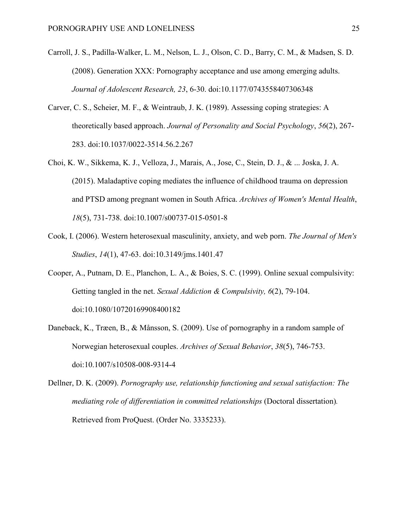- Carroll, J. S., Padilla-Walker, L. M., Nelson, L. J., Olson, C. D., Barry, C. M., & Madsen, S. D. (2008). Generation XXX: Pornography acceptance and use among emerging adults. *Journal of Adolescent Research, 23*, 6-30. doi:10.1177/0743558407306348
- Carver, C. S., Scheier, M. F., & Weintraub, J. K. (1989). Assessing coping strategies: A theoretically based approach. *Journal of Personality and Social Psychology*, *56*(2), 267- 283. doi:10.1037/0022-3514.56.2.267
- Choi, K. W., Sikkema, K. J., Velloza, J., Marais, A., Jose, C., Stein, D. J., & ... Joska, J. A. (2015). Maladaptive coping mediates the influence of childhood trauma on depression and PTSD among pregnant women in South Africa. *Archives of Women's Mental Health*, *18*(5), 731-738. doi:10.1007/s00737-015-0501-8
- Cook, I. (2006). Western heterosexual masculinity, anxiety, and web porn. *The Journal of Men's Studies*, *14*(1), 47-63. doi:10.3149/jms.1401.47
- Cooper, A., Putnam, D. E., Planchon, L. A., & Boies, S. C. (1999). Online sexual compulsivity: Getting tangled in the net. *Sexual Addiction & Compulsivity, 6*(2), 79-104. doi:10.1080/10720169908400182
- Daneback, K., Træen, B., & Månsson, S. (2009). Use of pornography in a random sample of Norwegian heterosexual couples. *Archives of Sexual Behavior*, *38*(5), 746-753. doi:10.1007/s10508-008-9314-4
- Dellner, D. K. (2009). *Pornography use, relationship functioning and sexual satisfaction: The mediating role of differentiation in committed relationships* (Doctoral dissertation)*.* Retrieved from ProQuest. (Order No. 3335233).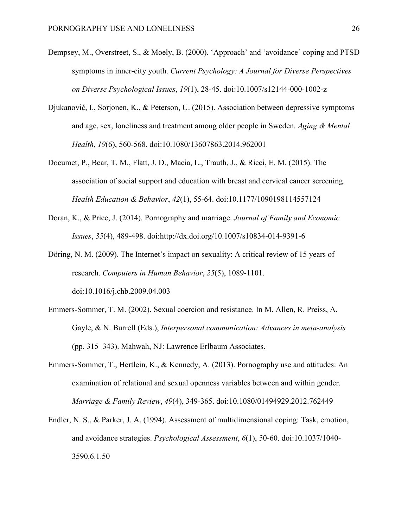- Dempsey, M., Overstreet, S., & Moely, B. (2000). 'Approach' and 'avoidance' coping and PTSD symptoms in inner-city youth. *Current Psychology: A Journal for Diverse Perspectives on Diverse Psychological Issues*, *19*(1), 28-45. doi:10.1007/s12144-000-1002-z
- Djukanović, I., Sorjonen, K., & Peterson, U. (2015). Association between depressive symptoms and age, sex, loneliness and treatment among older people in Sweden. *Aging & Mental Health*, *19*(6), 560-568. doi:10.1080/13607863.2014.962001
- Documet, P., Bear, T. M., Flatt, J. D., Macia, L., Trauth, J., & Ricci, E. M. (2015). The association of social support and education with breast and cervical cancer screening. *Health Education & Behavior*, *42*(1), 55-64. doi:10.1177/1090198114557124
- Doran, K., & Price, J. (2014). Pornography and marriage. *Journal of Family and Economic Issues*, *35*(4), 489-498. doi:http://dx.doi.org/10.1007/s10834-014-9391-6
- Döring, N. M. (2009). The Internet's impact on sexuality: A critical review of 15 years of research. *Computers in Human Behavior*, *25*(5), 1089-1101. doi:10.1016/j.chb.2009.04.003
- Emmers-Sommer, T. M. (2002). Sexual coercion and resistance. In M. Allen, R. Preiss, A. Gayle, & N. Burrell (Eds.), *Interpersonal communication: Advances in meta-analysis*  (pp. 315–343). Mahwah, NJ: Lawrence Erlbaum Associates.
- Emmers-Sommer, T., Hertlein, K., & Kennedy, A. (2013). Pornography use and attitudes: An examination of relational and sexual openness variables between and within gender. *Marriage & Family Review*, *49*(4), 349-365. doi:10.1080/01494929.2012.762449
- Endler, N. S., & Parker, J. A. (1994). Assessment of multidimensional coping: Task, emotion, and avoidance strategies. *Psychological Assessment*, *6*(1), 50-60. doi:10.1037/1040- 3590.6.1.50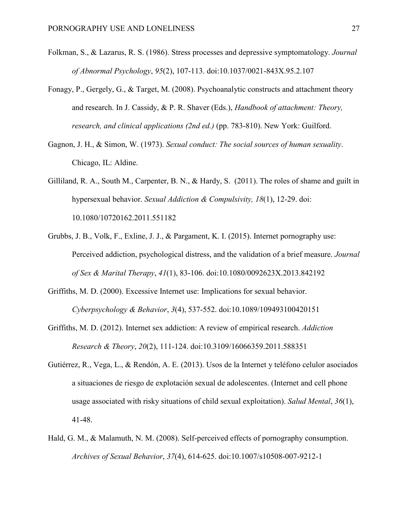- Folkman, S., & Lazarus, R. S. (1986). Stress processes and depressive symptomatology. *Journal of Abnormal Psychology*, *95*(2), 107-113. doi:10.1037/0021-843X.95.2.107
- Fonagy, P., Gergely, G., & Target, M. (2008). Psychoanalytic constructs and attachment theory and research. In J. Cassidy, & P. R. Shaver (Eds.), *Handbook of attachment: Theory, research, and clinical applications (2nd ed.)* (pp. 783-810). New York: Guilford.
- Gagnon, J. H., & Simon, W. (1973). *Sexual conduct: The social sources of human sexuality*. Chicago, IL: Aldine.
- Gilliland, R. A., South M., Carpenter, B. N., & Hardy, S. (2011). The roles of shame and guilt in hypersexual behavior. *Sexual Addiction & Compulsivity, 18*(1), 12-29. doi: 10.1080/10720162.2011.551182
- Grubbs, J. B., Volk, F., Exline, J. J., & Pargament, K. I. (2015). Internet pornography use: Perceived addiction, psychological distress, and the validation of a brief measure. *Journal of Sex & Marital Therapy*, *41*(1), 83-106. doi:10.1080/0092623X.2013.842192
- Griffiths, M. D. (2000). Excessive Internet use: Implications for sexual behavior. *Cyberpsychology & Behavior*, *3*(4), 537-552. doi:10.1089/109493100420151
- Griffiths, M. D. (2012). Internet sex addiction: A review of empirical research. *Addiction Research & Theory*, *20*(2), 111-124. doi:10.3109/16066359.2011.588351
- Gutiérrez, R., Vega, L., & Rendón, A. E. (2013). Usos de la Internet y teléfono celulor asociados a situaciones de riesgo de explotación sexual de adolescentes. (Internet and cell phone usage associated with risky situations of child sexual exploitation). *Salud Mental*, *36*(1), 41-48.
- Hald, G. M., & Malamuth, N. M. (2008). Self-perceived effects of pornography consumption. *Archives of Sexual Behavior*, *37*(4), 614-625. doi:10.1007/s10508-007-9212-1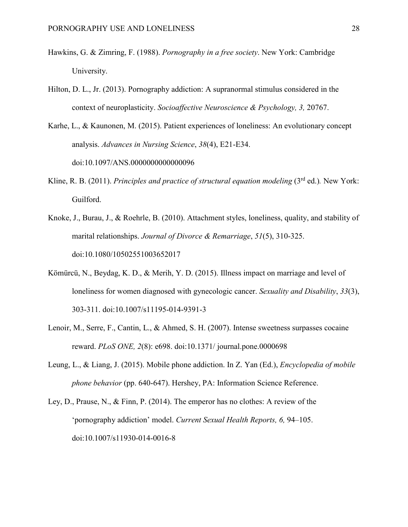- Hawkins, G. & Zimring, F. (1988). *Pornography in a free society*. New York: Cambridge University.
- Hilton, D. L., Jr. (2013). Pornography addiction: A supranormal stimulus considered in the context of neuroplasticity. *Socioaffective Neuroscience & Psychology, 3,* 20767.
- Karhe, L., & Kaunonen, M. (2015). Patient experiences of loneliness: An evolutionary concept analysis. *Advances in Nursing Science*, *38*(4), E21-E34. doi:10.1097/ANS.0000000000000096
- Kline, R. B. (2011). *Principles and practice of structural equation modeling* (3<sup>rd</sup> ed.). New York: Guilford.
- Knoke, J., Burau, J., & Roehrle, B. (2010). Attachment styles, loneliness, quality, and stability of marital relationships. *Journal of Divorce & Remarriage*, *51*(5), 310-325. doi:10.1080/10502551003652017
- Kömürcü, N., Beydag, K. D., & Merih, Y. D. (2015). Illness impact on marriage and level of loneliness for women diagnosed with gynecologic cancer. *Sexuality and Disability*, *33*(3), 303-311. doi:10.1007/s11195-014-9391-3
- Lenoir, M., Serre, F., Cantin, L., & Ahmed, S. H. (2007). Intense sweetness surpasses cocaine reward. *PLoS ONE, 2*(8): e698. doi:10.1371/ journal.pone.0000698
- Leung, L., & Liang, J. (2015). Mobile phone addiction. In Z. Yan (Ed.), *Encyclopedia of mobile phone behavior* (pp. 640-647). Hershey, PA: Information Science Reference.
- Ley, D., Prause, N., & Finn, P. (2014). The emperor has no clothes: A review of the 'pornography addiction' model. *Current Sexual Health Reports, 6,* 94–105. doi:10.1007/s11930-014-0016-8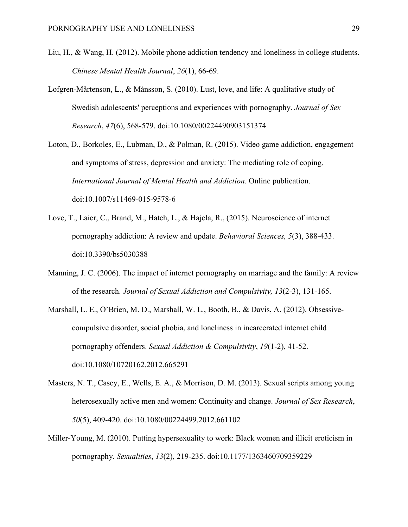- Liu, H., & Wang, H. (2012). Mobile phone addiction tendency and loneliness in college students. *Chinese Mental Health Journal*, *26*(1), 66-69.
- Lofgren-Mårtenson, L., & Månsson, S. (2010). Lust, love, and life: A qualitative study of Swedish adolescents' perceptions and experiences with pornography. *Journal of Sex Research*, *47*(6), 568-579. doi:10.1080/00224490903151374
- Loton, D., Borkoles, E., Lubman, D., & Polman, R. (2015). Video game addiction, engagement and symptoms of stress, depression and anxiety: The mediating role of coping. *International Journal of Mental Health and Addiction*. Online publication. doi:10.1007/s11469-015-9578-6
- Love, T., Laier, C., Brand, M., Hatch, L., & Hajela, R., (2015). Neuroscience of internet pornography addiction: A review and update. *Behavioral Sciences, 5*(3), 388-433. doi:10.3390/bs5030388
- Manning, J. C. (2006). The impact of internet pornography on marriage and the family: A review of the research. *Journal of Sexual Addiction and Compulsivity, 13*(2-3), 131-165.
- Marshall, L. E., O'Brien, M. D., Marshall, W. L., Booth, B., & Davis, A. (2012). Obsessivecompulsive disorder, social phobia, and loneliness in incarcerated internet child pornography offenders. *Sexual Addiction & Compulsivity*, *19*(1-2), 41-52. doi:10.1080/10720162.2012.665291
- Masters, N. T., Casey, E., Wells, E. A., & Morrison, D. M. (2013). Sexual scripts among young heterosexually active men and women: Continuity and change. *Journal of Sex Research*, *50*(5), 409-420. doi:10.1080/00224499.2012.661102
- Miller-Young, M. (2010). Putting hypersexuality to work: Black women and illicit eroticism in pornography. *Sexualities*, *13*(2), 219-235. doi:10.1177/1363460709359229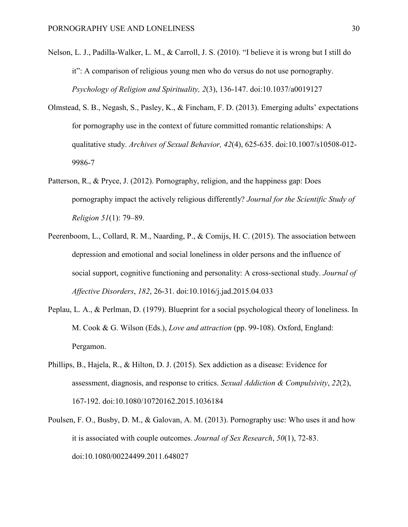- Nelson, L. J., Padilla-Walker, L. M., & Carroll, J. S. (2010). "I believe it is wrong but I still do it": A comparison of religious young men who do versus do not use pornography. *Psychology of Religion and Spirituality, 2*(3), 136-147. doi:10.1037/a0019127
- Olmstead, S. B., Negash, S., Pasley, K., & Fincham, F. D. (2013). Emerging adults' expectations for pornography use in the context of future committed romantic relationships: A qualitative study. *Archives of Sexual Behavior, 42*(4), 625-635. doi:10.1007/s10508-012- 9986-7
- Patterson, R., & Pryce, J. (2012). Pornography, religion, and the happiness gap: Does pornography impact the actively religious differently? *Journal for the Scientific Study of Religion 51*(1): 79–89.
- Peerenboom, L., Collard, R. M., Naarding, P., & Comijs, H. C. (2015). The association between depression and emotional and social loneliness in older persons and the influence of social support, cognitive functioning and personality: A cross-sectional study. *Journal of Affective Disorders*, *182*, 26-31. doi:10.1016/j.jad.2015.04.033
- Peplau, L. A., & Perlman, D. (1979). Blueprint for a social psychological theory of loneliness. In M. Cook & G. Wilson (Eds.), *Love and attraction* (pp. 99-108). Oxford, England: Pergamon.
- Phillips, B., Hajela, R., & Hilton, D. J. (2015). Sex addiction as a disease: Evidence for assessment, diagnosis, and response to critics. *Sexual Addiction & Compulsivity*, *22*(2), 167-192. doi:10.1080/10720162.2015.1036184
- Poulsen, F. O., Busby, D. M., & Galovan, A. M. (2013). Pornography use: Who uses it and how it is associated with couple outcomes. *Journal of Sex Research*, *50*(1), 72-83. doi:10.1080/00224499.2011.648027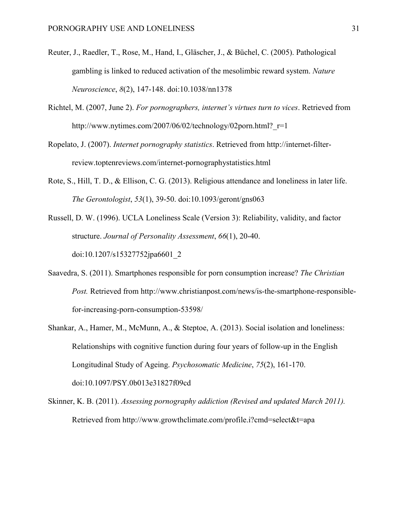- Reuter, J., Raedler, T., Rose, M., Hand, I., Gläscher, J., & Büchel, C. (2005). Pathological gambling is linked to reduced activation of the mesolimbic reward system. *Nature Neuroscience*, *8*(2), 147-148. doi:10.1038/nn1378
- Richtel, M. (2007, June 2). *For pornographers, internet's virtues turn to vices*. Retrieved from http://www.nytimes.com/2007/06/02/technology/02porn.html? $r=1$
- Ropelato, J. (2007). *Internet pornography statistics*. Retrieved from http://internet-filterreview.toptenreviews.com/internet-pornographystatistics.html
- Rote, S., Hill, T. D., & Ellison, C. G. (2013). Religious attendance and loneliness in later life. *The Gerontologist*, *53*(1), 39-50. doi:10.1093/geront/gns063
- Russell, D. W. (1996). UCLA Loneliness Scale (Version 3): Reliability, validity, and factor structure. *Journal of Personality Assessment*, *66*(1), 20-40. doi:10.1207/s15327752jpa6601\_2
- Saavedra, S. (2011). Smartphones responsible for porn consumption increase? *The Christian Post.* Retrieved from http://www.christianpost.com/news/is-the-smartphone-responsiblefor-increasing-porn-consumption-53598/
- Shankar, A., Hamer, M., McMunn, A., & Steptoe, A. (2013). Social isolation and loneliness: Relationships with cognitive function during four years of follow-up in the English Longitudinal Study of Ageing. *Psychosomatic Medicine*, *75*(2), 161-170. doi:10.1097/PSY.0b013e31827f09cd
- Skinner, K. B. (2011). *Assessing pornography addiction (Revised and updated March 2011).*  Retrieved from http://www.growthclimate.com/profile.i?cmd=select&t=apa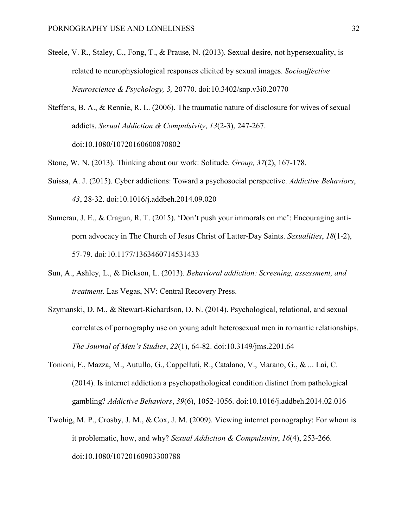- Steele, V. R., Staley, C., Fong, T., & Prause, N. (2013). Sexual desire, not hypersexuality, is related to neurophysiological responses elicited by sexual images. *Socioaffective Neuroscience & Psychology, 3,* 20770. doi:10.3402/snp.v3i0.20770
- Steffens, B. A., & Rennie, R. L. (2006). The traumatic nature of disclosure for wives of sexual addicts. *Sexual Addiction & Compulsivity*, *13*(2-3), 247-267. doi:10.1080/10720160600870802
- Stone, W. N. (2013). Thinking about our work: Solitude. *Group, 37*(2), 167-178.
- Suissa, A. J. (2015). Cyber addictions: Toward a psychosocial perspective. *Addictive Behaviors*, *43*, 28-32. doi:10.1016/j.addbeh.2014.09.020
- Sumerau, J. E., & Cragun, R. T. (2015). 'Don't push your immorals on me': Encouraging antiporn advocacy in The Church of Jesus Christ of Latter-Day Saints. *Sexualities*, *18*(1-2), 57-79. doi:10.1177/1363460714531433
- Sun, A., Ashley, L., & Dickson, L. (2013). *Behavioral addiction: Screening, assessment, and treatment*. Las Vegas, NV: Central Recovery Press.
- Szymanski, D. M., & Stewart-Richardson, D. N. (2014). Psychological, relational, and sexual correlates of pornography use on young adult heterosexual men in romantic relationships. *The Journal of Men's Studies*, *22*(1), 64-82. doi:10.3149/jms.2201.64
- Tonioni, F., Mazza, M., Autullo, G., Cappelluti, R., Catalano, V., Marano, G., & ... Lai, C. (2014). Is internet addiction a psychopathological condition distinct from pathological gambling? *Addictive Behaviors*, *39*(6), 1052-1056. doi:10.1016/j.addbeh.2014.02.016
- Twohig, M. P., Crosby, J. M., & Cox, J. M. (2009). Viewing internet pornography: For whom is it problematic, how, and why? *Sexual Addiction & Compulsivity*, *16*(4), 253-266. doi:10.1080/10720160903300788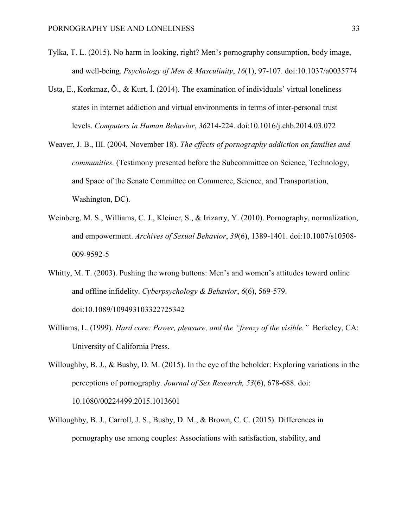- Tylka, T. L. (2015). No harm in looking, right? Men's pornography consumption, body image, and well-being. *Psychology of Men & Masculinity*, *16*(1), 97-107. doi:10.1037/a0035774
- Usta, E., Korkmaz, Ö., & Kurt, İ. (2014). The examination of individuals' virtual loneliness states in internet addiction and virtual environments in terms of inter-personal trust levels. *Computers in Human Behavior*, *36*214-224. doi:10.1016/j.chb.2014.03.072
- Weaver, J. B., III. (2004, November 18). *The effects of pornography addiction on families and communities.* (Testimony presented before the Subcommittee on Science, Technology, and Space of the Senate Committee on Commerce, Science, and Transportation, Washington, DC).
- Weinberg, M. S., Williams, C. J., Kleiner, S., & Irizarry, Y. (2010). Pornography, normalization, and empowerment. *Archives of Sexual Behavior*, *39*(6), 1389-1401. doi:10.1007/s10508- 009-9592-5
- Whitty, M. T. (2003). Pushing the wrong buttons: Men's and women's attitudes toward online and offline infidelity. *Cyberpsychology & Behavior*, *6*(6), 569-579. doi:10.1089/109493103322725342
- Williams, L. (1999). *Hard core: Power, pleasure, and the "frenzy of the visible."* Berkeley, CA: University of California Press.
- Willoughby, B. J., & Busby, D. M. (2015). In the eye of the beholder: Exploring variations in the perceptions of pornography. *Journal of Sex Research, 53*(6), 678-688. doi: 10.1080/00224499.2015.1013601
- Willoughby, B. J., Carroll, J. S., Busby, D. M., & Brown, C. C. (2015). Differences in pornography use among couples: Associations with satisfaction, stability, and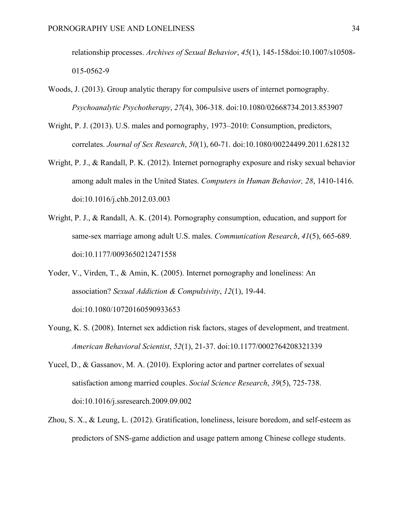relationship processes. *Archives of Sexual Behavior*, *45*(1), 145-158doi:10.1007/s10508- 015-0562-9

- Woods, J. (2013). Group analytic therapy for compulsive users of internet pornography. *Psychoanalytic Psychotherapy*, *27*(4), 306-318. doi:10.1080/02668734.2013.853907
- Wright, P. J. (2013). U.S. males and pornography, 1973–2010: Consumption, predictors, correlates. *Journal of Sex Research*, *50*(1), 60-71. doi:10.1080/00224499.2011.628132
- Wright, P. J., & Randall, P. K. (2012). Internet pornography exposure and risky sexual behavior among adult males in the United States. *Computers in Human Behavior, 28*, 1410-1416. doi:10.1016/j.chb.2012.03.003
- Wright, P. J., & Randall, A. K. (2014). Pornography consumption, education, and support for same-sex marriage among adult U.S. males. *Communication Research*, *41*(5), 665-689. doi:10.1177/0093650212471558
- Yoder, V., Virden, T., & Amin, K. (2005). Internet pornography and loneliness: An association? *Sexual Addiction & Compulsivity*, *12*(1), 19-44. doi:10.1080/10720160590933653
- Young, K. S. (2008). Internet sex addiction risk factors, stages of development, and treatment. *American Behavioral Scientist*, *52*(1), 21-37. doi:10.1177/0002764208321339
- Yucel, D., & Gassanov, M. A. (2010). Exploring actor and partner correlates of sexual satisfaction among married couples. *Social Science Research*, *39*(5), 725-738. doi:10.1016/j.ssresearch.2009.09.002
- Zhou, S. X., & Leung, L. (2012). Gratification, loneliness, leisure boredom, and self-esteem as predictors of SNS-game addiction and usage pattern among Chinese college students.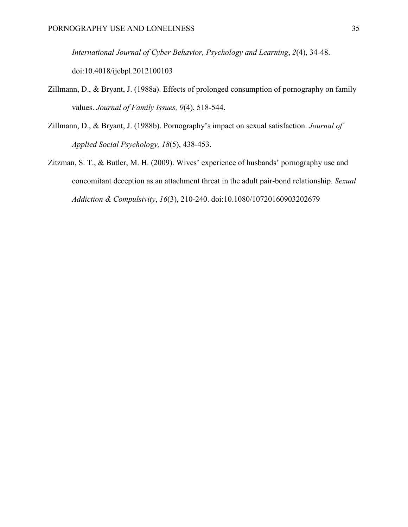*International Journal of Cyber Behavior, Psychology and Learning*, *2*(4), 34-48. doi:10.4018/ijcbpl.2012100103

- Zillmann, D., & Bryant, J. (1988a). Effects of prolonged consumption of pornography on family values. *Journal of Family Issues, 9*(4), 518-544.
- Zillmann, D., & Bryant, J. (1988b). Pornography's impact on sexual satisfaction. *Journal of Applied Social Psychology, 18*(5), 438-453.
- Zitzman, S. T., & Butler, M. H. (2009). Wives' experience of husbands' pornography use and concomitant deception as an attachment threat in the adult pair-bond relationship. *Sexual Addiction & Compulsivity*, *16*(3), 210-240. doi:10.1080/10720160903202679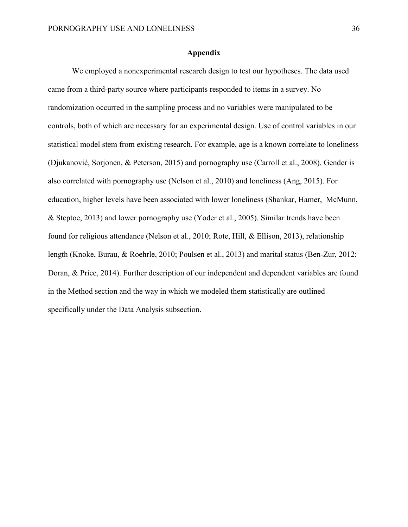# **Appendix**

We employed a nonexperimental research design to test our hypotheses. The data used came from a third-party source where participants responded to items in a survey. No randomization occurred in the sampling process and no variables were manipulated to be controls, both of which are necessary for an experimental design. Use of control variables in our statistical model stem from existing research. For example, age is a known correlate to loneliness (Djukanović, Sorjonen, & Peterson, 2015) and pornography use (Carroll et al., 2008). Gender is also correlated with pornography use (Nelson et al., 2010) and loneliness (Ang, 2015). For education, higher levels have been associated with lower loneliness (Shankar, Hamer, McMunn, & Steptoe, 2013) and lower pornography use (Yoder et al., 2005). Similar trends have been found for religious attendance (Nelson et al., 2010; Rote, Hill, & Ellison, 2013), relationship length (Knoke, Burau, & Roehrle, 2010; Poulsen et al., 2013) and marital status (Ben-Zur, 2012; Doran, & Price, 2014). Further description of our independent and dependent variables are found in the Method section and the way in which we modeled them statistically are outlined specifically under the Data Analysis subsection.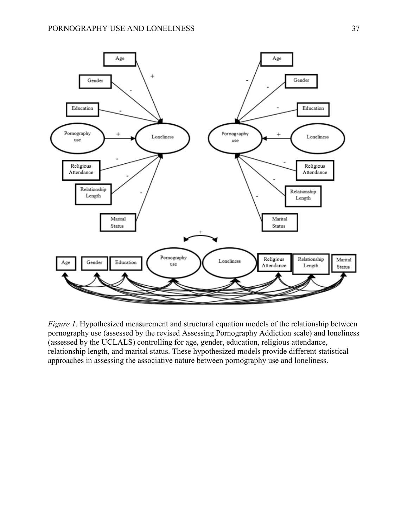

*Figure 1.* Hypothesized measurement and structural equation models of the relationship between pornography use (assessed by the revised Assessing Pornography Addiction scale) and loneliness (assessed by the UCLALS) controlling for age, gender, education, religious attendance, relationship length, and marital status. These hypothesized models provide different statistical approaches in assessing the associative nature between pornography use and loneliness.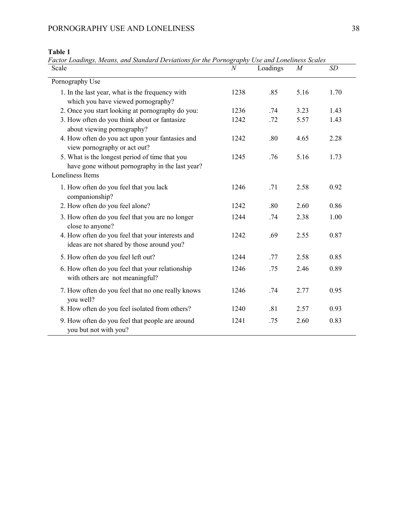# **Table 1**

*Factor Loadings, Means, and Standard Deviations for the Pornography Use and Loneliness Scales*

| Scale                                                                                             | $\mathcal N$ | Loadings | $\boldsymbol{M}$ | SD   |
|---------------------------------------------------------------------------------------------------|--------------|----------|------------------|------|
| Pornography Use                                                                                   |              |          |                  |      |
| 1. In the last year, what is the frequency with<br>which you have viewed pornography?             | 1238         | .85      | 5.16             | 1.70 |
| 2. Once you start looking at pornography do you:                                                  | 1236         | .74      | 3.23             | 1.43 |
| 3. How often do you think about or fantasize<br>about viewing pornography?                        | 1242         | .72      | 5.57             | 1.43 |
| 4. How often do you act upon your fantasies and<br>view pornography or act out?                   | 1242         | .80      | 4.65             | 2.28 |
| 5. What is the longest period of time that you<br>have gone without pornography in the last year? | 1245         | .76      | 5.16             | 1.73 |
| Loneliness Items                                                                                  |              |          |                  |      |
| 1. How often do you feel that you lack<br>companionship?                                          | 1246         | .71      | 2.58             | 0.92 |
| 2. How often do you feel alone?                                                                   | 1242         | .80      | 2.60             | 0.86 |
| 3. How often do you feel that you are no longer<br>close to anyone?                               | 1244         | .74      | 2.38             | 1.00 |
| 4. How often do you feel that your interests and<br>ideas are not shared by those around you?     | 1242         | .69      | 2.55             | 0.87 |
| 5. How often do you feel left out?                                                                | 1244         | .77      | 2.58             | 0.85 |
| 6. How often do you feel that your relationship<br>with others are not meaningful?                | 1246         | .75      | 2.46             | 0.89 |
| 7. How often do you feel that no one really knows<br>you well?                                    | 1246         | .74      | 2.77             | 0.95 |
| 8. How often do you feel isolated from others?                                                    | 1240         | .81      | 2.57             | 0.93 |
| 9. How often do you feel that people are around<br>you but not with you?                          | 1241         | .75      | 2.60             | 0.83 |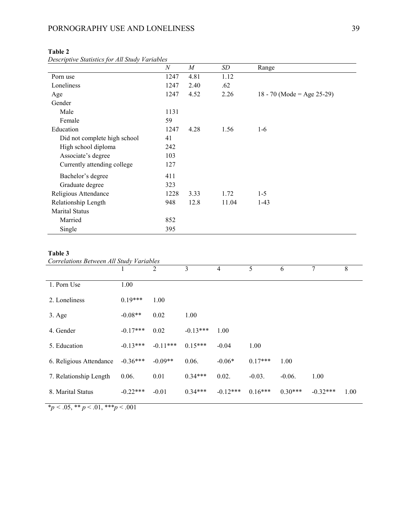| Descriptive statistics for All Study Variables | $\boldsymbol{N}$ | $\cal M$ | SD    | Range                      |
|------------------------------------------------|------------------|----------|-------|----------------------------|
| Porn use                                       | 1247             | 4.81     | 1.12  |                            |
| Loneliness                                     | 1247             | 2.40     | .62   |                            |
| Age                                            | 1247             | 4.52     | 2.26  | 18 - 70 (Mode = Age 25-29) |
| Gender                                         |                  |          |       |                            |
| Male                                           | 1131             |          |       |                            |
| Female                                         | 59               |          |       |                            |
| Education                                      | 1247             | 4.28     | 1.56  | $1-6$                      |
| Did not complete high school                   | 41               |          |       |                            |
| High school diploma                            | 242              |          |       |                            |
| Associate's degree                             | 103              |          |       |                            |
| Currently attending college                    | 127              |          |       |                            |
| Bachelor's degree                              | 411              |          |       |                            |
| Graduate degree                                | 323              |          |       |                            |
| Religious Attendance                           | 1228             | 3.33     | 1.72  | $1-5$                      |
| Relationship Length                            | 948              | 12.8     | 11.04 | $1-43$                     |
| <b>Marital Status</b>                          |                  |          |       |                            |
| Married                                        | 852              |          |       |                            |
| Single                                         | 395              |          |       |                            |

# **Table 2**

*Descriptive Statistics for All Study Variables*

# **Table 3**

*Correlations Between All Study Variables*

|                         |            | $\overline{2}$ | 3          | $\overline{4}$ | 5         | 6         | 7          | 8    |
|-------------------------|------------|----------------|------------|----------------|-----------|-----------|------------|------|
| 1. Porn Use             | 1.00       |                |            |                |           |           |            |      |
| 2. Loneliness           | $0.19***$  | 1.00           |            |                |           |           |            |      |
| $3. \text{Age}$         | $-0.08**$  | 0.02           | 1.00       |                |           |           |            |      |
| 4. Gender               | $-0.17***$ | 0.02           | $-0.13***$ | 1.00           |           |           |            |      |
| 5. Education            | $-0.13***$ | $-0.11***$     | $0.15***$  | $-0.04$        | 1.00      |           |            |      |
| 6. Religious Attendance | $-0.36***$ | $-0.09**$      | 0.06.      | $-0.06*$       | $0.17***$ | 1.00      |            |      |
| 7. Relationship Length  | 0.06.      | 0.01           | $0.34***$  | 0.02.          | $-0.03$ . | $-0.06$ . | 1.00       |      |
| 8. Marital Status       | $-0.22***$ | $-0.01$        | $0.34***$  | $-0.12***$     | $0.16***$ | $0.30***$ | $-0.32***$ | 1.00 |

 $\overline{\text{*}p \cdot 0.05, \text{**}p \cdot 0.01, \text{**}p \cdot 0.001}}$